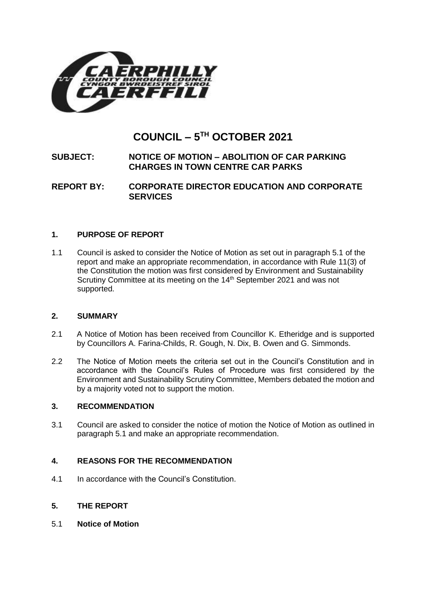

# **COUNCIL – 5 TH OCTOBER 2021**

# **SUBJECT: NOTICE OF MOTION – ABOLITION OF CAR PARKING CHARGES IN TOWN CENTRE CAR PARKS**

**REPORT BY: CORPORATE DIRECTOR EDUCATION AND CORPORATE SERVICES**

# **1. PURPOSE OF REPORT**

1.1 Council is asked to consider the Notice of Motion as set out in paragraph 5.1 of the report and make an appropriate recommendation, in accordance with Rule 11(3) of the Constitution the motion was first considered by Environment and Sustainability Scrutiny Committee at its meeting on the 14<sup>th</sup> September 2021 and was not supported.

# **2. SUMMARY**

- 2.1 A Notice of Motion has been received from Councillor K. Etheridge and is supported by Councillors A. Farina-Childs, R. Gough, N. Dix, B. Owen and G. Simmonds.
- 2.2 The Notice of Motion meets the criteria set out in the Council's Constitution and in accordance with the Council's Rules of Procedure was first considered by the Environment and Sustainability Scrutiny Committee, Members debated the motion and by a majority voted not to support the motion.

# **3. RECOMMENDATION**

3.1 Council are asked to consider the notice of motion the Notice of Motion as outlined in paragraph 5.1 and make an appropriate recommendation.

# **4. REASONS FOR THE RECOMMENDATION**

- 4.1 In accordance with the Council's Constitution.
- **5. THE REPORT**
- 5.1 **Notice of Motion**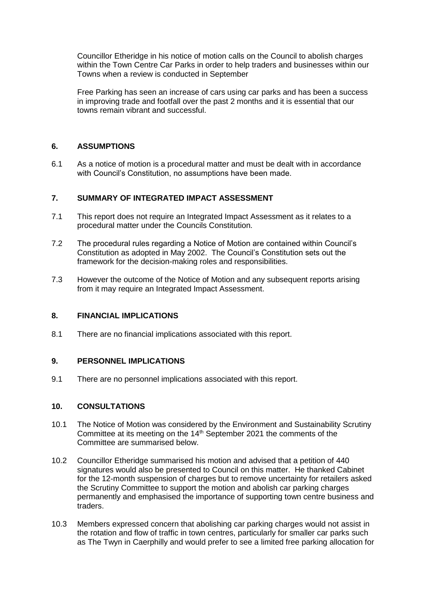Councillor Etheridge in his notice of motion calls on the Council to abolish charges within the Town Centre Car Parks in order to help traders and businesses within our Towns when a review is conducted in September

Free Parking has seen an increase of cars using car parks and has been a success in improving trade and footfall over the past 2 months and it is essential that our towns remain vibrant and successful.

# **6. ASSUMPTIONS**

6.1 As a notice of motion is a procedural matter and must be dealt with in accordance with Council's Constitution, no assumptions have been made.

# **7. SUMMARY OF INTEGRATED IMPACT ASSESSMENT**

- 7.1 This report does not require an Integrated Impact Assessment as it relates to a procedural matter under the Councils Constitution.
- 7.2 The procedural rules regarding a Notice of Motion are contained within Council's Constitution as adopted in May 2002. The Council's Constitution sets out the framework for the decision-making roles and responsibilities.
- 7.3 However the outcome of the Notice of Motion and any subsequent reports arising from it may require an Integrated Impact Assessment.

# **8. FINANCIAL IMPLICATIONS**

8.1 There are no financial implications associated with this report.

# **9. PERSONNEL IMPLICATIONS**

9.1 There are no personnel implications associated with this report.

# **10. CONSULTATIONS**

- 10.1 The Notice of Motion was considered by the Environment and Sustainability Scrutiny Committee at its meeting on the 14<sup>th</sup> September 2021 the comments of the Committee are summarised below.
- 10.2 Councillor Etheridge summarised his motion and advised that a petition of 440 signatures would also be presented to Council on this matter. He thanked Cabinet for the 12-month suspension of charges but to remove uncertainty for retailers asked the Scrutiny Committee to support the motion and abolish car parking charges permanently and emphasised the importance of supporting town centre business and traders.
- 10.3 Members expressed concern that abolishing car parking charges would not assist in the rotation and flow of traffic in town centres, particularly for smaller car parks such as The Twyn in Caerphilly and would prefer to see a limited free parking allocation for